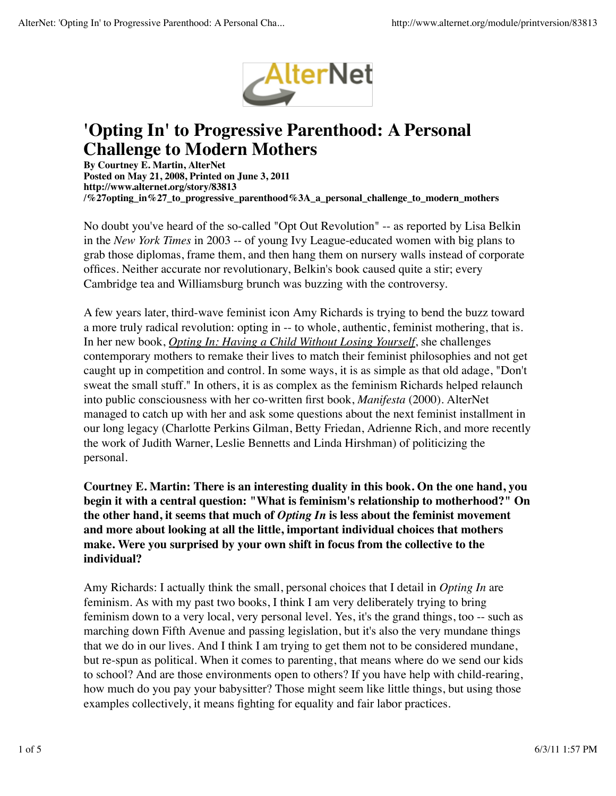

# **'Opting In' to Progressive Parenthood: A Personal Challenge to Modern Mothers**

**By Courtney E. Martin, AlterNet Posted on May 21, 2008, Printed on June 3, 2011 http://www.alternet.org/story/83813 /%27opting\_in%27\_to\_progressive\_parenthood%3A\_a\_personal\_challenge\_to\_modern\_mothers**

No doubt you've heard of the so-called "Opt Out Revolution" -- as reported by Lisa Belkin in the *New York Times* in 2003 -- of young Ivy League-educated women with big plans to grab those diplomas, frame them, and then hang them on nursery walls instead of corporate offices. Neither accurate nor revolutionary, Belkin's book caused quite a stir; every Cambridge tea and Williamsburg brunch was buzzing with the controversy.

A few years later, third-wave feminist icon Amy Richards is trying to bend the buzz toward a more truly radical revolution: opting in -- to whole, authentic, feminist mothering, that is. In her new book, *Opting In: Having a Child Without Losing Yourself*, she challenges contemporary mothers to remake their lives to match their feminist philosophies and not get caught up in competition and control. In some ways, it is as simple as that old adage, "Don't sweat the small stuff." In others, it is as complex as the feminism Richards helped relaunch into public consciousness with her co-written first book, *Manifesta* (2000). AlterNet managed to catch up with her and ask some questions about the next feminist installment in our long legacy (Charlotte Perkins Gilman, Betty Friedan, Adrienne Rich, and more recently the work of Judith Warner, Leslie Bennetts and Linda Hirshman) of politicizing the personal.

**Courtney E. Martin: There is an interesting duality in this book. On the one hand, you begin it with a central question: "What is feminism's relationship to motherhood?" On the other hand, it seems that much of** *Opting In* **is less about the feminist movement and more about looking at all the little, important individual choices that mothers make. Were you surprised by your own shift in focus from the collective to the individual?**

Amy Richards: I actually think the small, personal choices that I detail in *Opting In* are feminism. As with my past two books, I think I am very deliberately trying to bring feminism down to a very local, very personal level. Yes, it's the grand things, too -- such as marching down Fifth Avenue and passing legislation, but it's also the very mundane things that we do in our lives. And I think I am trying to get them not to be considered mundane, but re-spun as political. When it comes to parenting, that means where do we send our kids to school? And are those environments open to others? If you have help with child-rearing, how much do you pay your babysitter? Those might seem like little things, but using those examples collectively, it means fighting for equality and fair labor practices.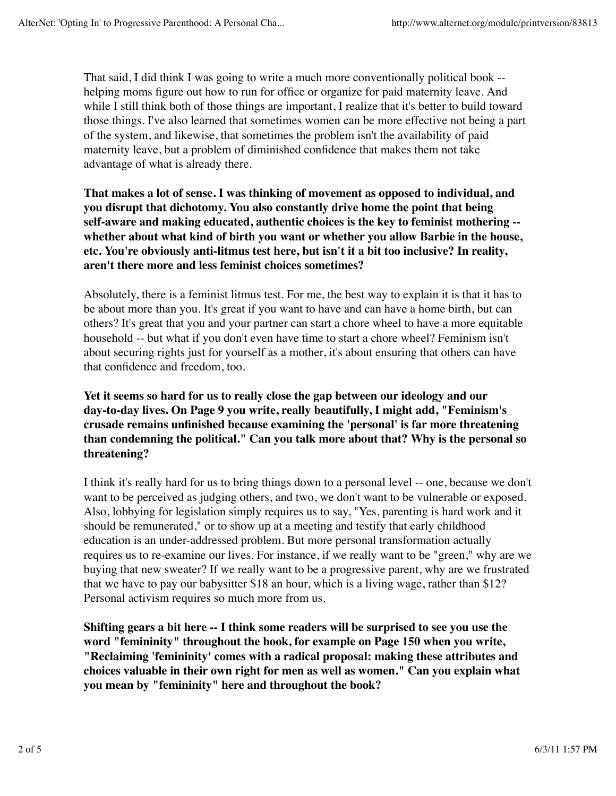That said, I did think I was going to write a much more conventionally political book - helping moms figure out how to run for office or organize for paid maternity leave. And while I still think both of those things are important, I realize that it's better to build toward those things. I've also learned that sometimes women can be more effective not being a part of the system, and likewise, that sometimes the problem isn't the availability of paid maternity leave, but a problem of diminished confidence that makes them not take advantage of what is already there.

**That makes a lot of sense. I was thinking of movement as opposed to individual, and you disrupt that dichotomy. You also constantly drive home the point that being self-aware and making educated, authentic choices is the key to feminist mothering - whether about what kind of birth you want or whether you allow Barbie in the house, etc. You're obviously anti-litmus test here, but isn't it a bit too inclusive? In reality, aren't there more and less feminist choices sometimes?**

Absolutely, there is a feminist litmus test. For me, the best way to explain it is that it has to be about more than you. It's great if you want to have and can have a home birth, but can others? It's great that you and your partner can start a chore wheel to have a more equitable household -- but what if you don't even have time to start a chore wheel? Feminism isn't about securing rights just for yourself as a mother, it's about ensuring that others can have that confidence and freedom, too.

**Yet it seems so hard for us to really close the gap between our ideology and our day-to-day lives. On Page 9 you write, really beautifully, I might add, "Feminism's crusade remains unfinished because examining the 'personal' is far more threatening than condemning the political." Can you talk more about that? Why is the personal so threatening?**

I think it's really hard for us to bring things down to a personal level -- one, because we don't want to be perceived as judging others, and two, we don't want to be vulnerable or exposed. Also, lobbying for legislation simply requires us to say, "Yes, parenting is hard work and it should be remunerated," or to show up at a meeting and testify that early childhood education is an under-addressed problem. But more personal transformation actually requires us to re-examine our lives. For instance, if we really want to be "green," why are we buying that new sweater? If we really want to be a progressive parent, why are we frustrated that we have to pay our babysitter \$18 an hour, which is a living wage, rather than \$12? Personal activism requires so much more from us.

**Shifting gears a bit here -- I think some readers will be surprised to see you use the word "femininity" throughout the book, for example on Page 150 when you write, "Reclaiming 'femininity' comes with a radical proposal: making these attributes and choices valuable in their own right for men as well as women." Can you explain what you mean by "femininity" here and throughout the book?**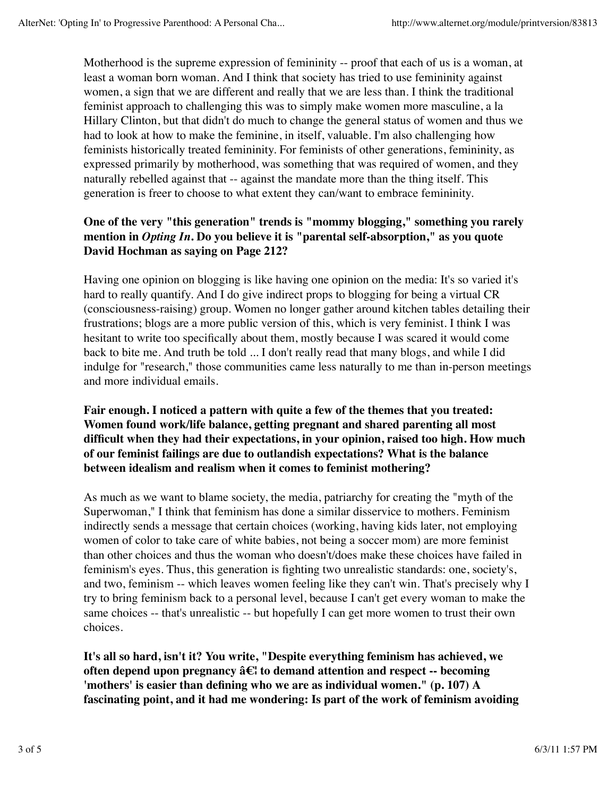Motherhood is the supreme expression of femininity -- proof that each of us is a woman, at least a woman born woman. And I think that society has tried to use femininity against women, a sign that we are different and really that we are less than. I think the traditional feminist approach to challenging this was to simply make women more masculine, a la Hillary Clinton, but that didn't do much to change the general status of women and thus we had to look at how to make the feminine, in itself, valuable. I'm also challenging how feminists historically treated femininity. For feminists of other generations, femininity, as expressed primarily by motherhood, was something that was required of women, and they naturally rebelled against that -- against the mandate more than the thing itself. This generation is freer to choose to what extent they can/want to embrace femininity.

## **One of the very "this generation" trends is "mommy blogging," something you rarely mention in** *Opting In***. Do you believe it is "parental self-absorption," as you quote David Hochman as saying on Page 212?**

Having one opinion on blogging is like having one opinion on the media: It's so varied it's hard to really quantify. And I do give indirect props to blogging for being a virtual CR (consciousness-raising) group. Women no longer gather around kitchen tables detailing their frustrations; blogs are a more public version of this, which is very feminist. I think I was hesitant to write too specifically about them, mostly because I was scared it would come back to bite me. And truth be told ... I don't really read that many blogs, and while I did indulge for "research," those communities came less naturally to me than in-person meetings and more individual emails.

### **Fair enough. I noticed a pattern with quite a few of the themes that you treated: Women found work/life balance, getting pregnant and shared parenting all most difficult when they had their expectations, in your opinion, raised too high. How much of our feminist failings are due to outlandish expectations? What is the balance between idealism and realism when it comes to feminist mothering?**

As much as we want to blame society, the media, patriarchy for creating the "myth of the Superwoman," I think that feminism has done a similar disservice to mothers. Feminism indirectly sends a message that certain choices (working, having kids later, not employing women of color to take care of white babies, not being a soccer mom) are more feminist than other choices and thus the woman who doesn't/does make these choices have failed in feminism's eyes. Thus, this generation is fighting two unrealistic standards: one, society's, and two, feminism -- which leaves women feeling like they can't win. That's precisely why I try to bring feminism back to a personal level, because I can't get every woman to make the same choices -- that's unrealistic -- but hopefully I can get more women to trust their own choices.

**It's all so hard, isn't it? You write, "Despite everything feminism has achieved, we often depend upon pregnancy â€¦ to demand attention and respect -- becoming 'mothers' is easier than defining who we are as individual women." (p. 107) A fascinating point, and it had me wondering: Is part of the work of feminism avoiding**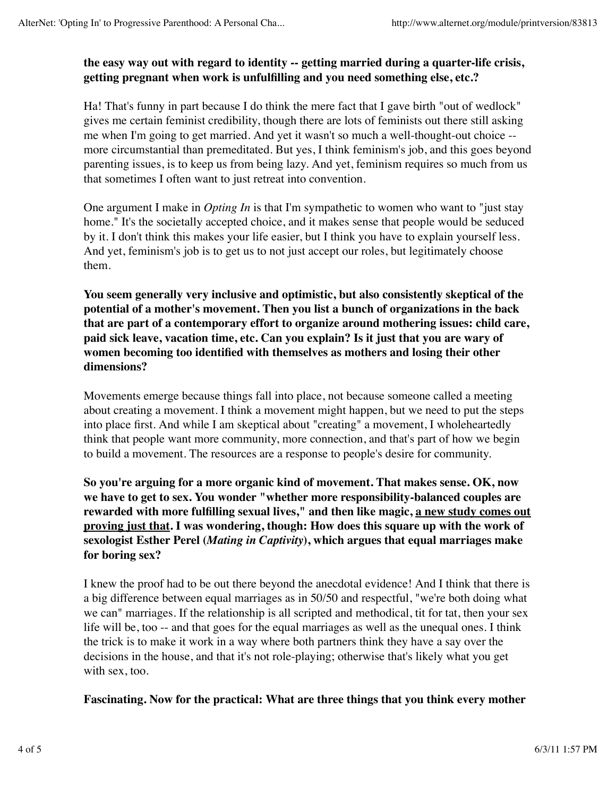### **the easy way out with regard to identity -- getting married during a quarter-life crisis, getting pregnant when work is unfulfilling and you need something else, etc.?**

Ha! That's funny in part because I do think the mere fact that I gave birth "out of wedlock" gives me certain feminist credibility, though there are lots of feminists out there still asking me when I'm going to get married. And yet it wasn't so much a well-thought-out choice - more circumstantial than premeditated. But yes, I think feminism's job, and this goes beyond parenting issues, is to keep us from being lazy. And yet, feminism requires so much from us that sometimes I often want to just retreat into convention.

One argument I make in *Opting In* is that I'm sympathetic to women who want to "just stay home." It's the societally accepted choice, and it makes sense that people would be seduced by it. I don't think this makes your life easier, but I think you have to explain yourself less. And yet, feminism's job is to get us to not just accept our roles, but legitimately choose them.

**You seem generally very inclusive and optimistic, but also consistently skeptical of the potential of a mother's movement. Then you list a bunch of organizations in the back that are part of a contemporary effort to organize around mothering issues: child care, paid sick leave, vacation time, etc. Can you explain? Is it just that you are wary of women becoming too identified with themselves as mothers and losing their other dimensions?**

Movements emerge because things fall into place, not because someone called a meeting about creating a movement. I think a movement might happen, but we need to put the steps into place first. And while I am skeptical about "creating" a movement, I wholeheartedly think that people want more community, more connection, and that's part of how we begin to build a movement. The resources are a response to people's desire for community.

**So you're arguing for a more organic kind of movement. That makes sense. OK, now we have to get to sex. You wonder "whether more responsibility-balanced couples are rewarded with more fulfilling sexual lives," and then like magic, a new study comes out proving just that. I was wondering, though: How does this square up with the work of sexologist Esther Perel (***Mating in Captivity***), which argues that equal marriages make for boring sex?**

I knew the proof had to be out there beyond the anecdotal evidence! And I think that there is a big difference between equal marriages as in 50/50 and respectful, "we're both doing what we can" marriages. If the relationship is all scripted and methodical, tit for tat, then your sex life will be, too -- and that goes for the equal marriages as well as the unequal ones. I think the trick is to make it work in a way where both partners think they have a say over the decisions in the house, and that it's not role-playing; otherwise that's likely what you get with sex, too.

**Fascinating. Now for the practical: What are three things that you think every mother**